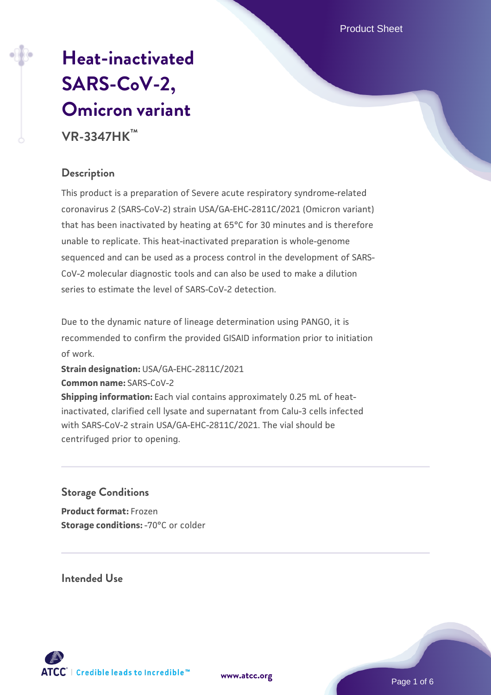Product Sheet

# **[Heat-inactivated](https://www.atcc.org/products/vr-3347hk) [SARS-CoV-2,](https://www.atcc.org/products/vr-3347hk) [Omicron variant](https://www.atcc.org/products/vr-3347hk) VR-3347HK™**

# **Description**

This product is a preparation of Severe acute respiratory syndrome-related coronavirus 2 (SARS-CoV-2) strain USA/GA-EHC-2811C/2021 (Omicron variant) that has been inactivated by heating at 65°C for 30 minutes and is therefore unable to replicate. This heat-inactivated preparation is whole-genome sequenced and can be used as a process control in the development of SARS-CoV-2 molecular diagnostic tools and can also be used to make a dilution series to estimate the level of SARS-CoV-2 detection.

Due to the dynamic nature of lineage determination using PANGO, it is recommended to confirm the provided GISAID information prior to initiation of work.

**Strain designation:** USA/GA-EHC-2811C/2021

**Common name:** SARS-CoV-2

**Shipping information:** Each vial contains approximately 0.25 mL of heatinactivated, clarified cell lysate and supernatant from Calu-3 cells infected with SARS-CoV-2 strain USA/GA-EHC-2811C/2021. The vial should be centrifuged prior to opening.

## **Storage Conditions**

**Product format:** Frozen **Storage conditions: - 70°C or colder** 

**Intended Use**



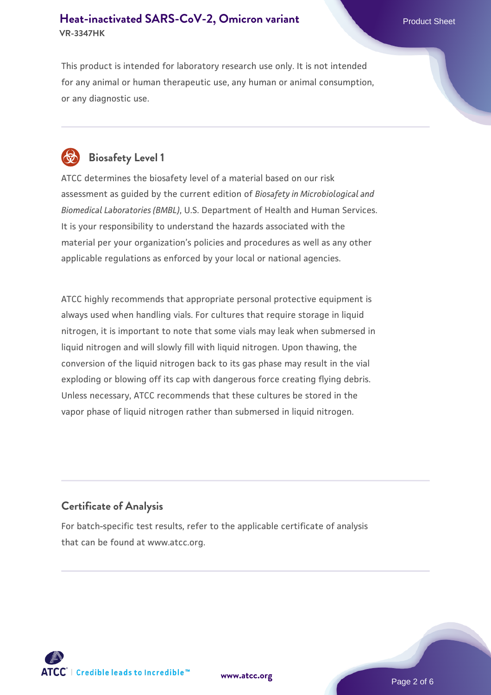This product is intended for laboratory research use only. It is not intended for any animal or human therapeutic use, any human or animal consumption, or any diagnostic use.



# **Biosafety Level 1**

ATCC determines the biosafety level of a material based on our risk assessment as guided by the current edition of *Biosafety in Microbiological and Biomedical Laboratories (BMBL)*, U.S. Department of Health and Human Services. It is your responsibility to understand the hazards associated with the material per your organization's policies and procedures as well as any other applicable regulations as enforced by your local or national agencies.

ATCC highly recommends that appropriate personal protective equipment is always used when handling vials. For cultures that require storage in liquid nitrogen, it is important to note that some vials may leak when submersed in liquid nitrogen and will slowly fill with liquid nitrogen. Upon thawing, the conversion of the liquid nitrogen back to its gas phase may result in the vial exploding or blowing off its cap with dangerous force creating flying debris. Unless necessary, ATCC recommends that these cultures be stored in the vapor phase of liquid nitrogen rather than submersed in liquid nitrogen.

## **Certificate of Analysis**

For batch-specific test results, refer to the applicable certificate of analysis that can be found at www.atcc.org.

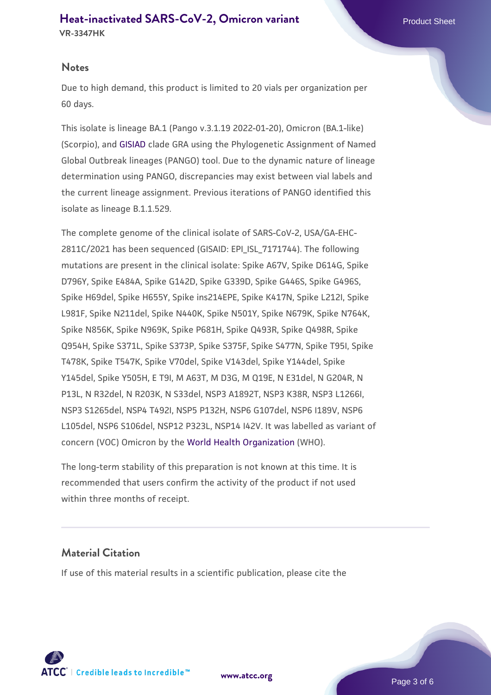#### **Notes**

Due to high demand, this product is limited to 20 vials per organization per 60 days.

This isolate is lineage BA.1 (Pango v.3.1.19 2022-01-20), Omicron (BA.1-like) (Scorpio), and [GISIAD](https://www.gisaid.org/) clade GRA using the Phylogenetic Assignment of Named Global Outbreak lineages (PANGO) tool. Due to the dynamic nature of lineage determination using PANGO, discrepancies may exist between vial labels and the current lineage assignment. Previous iterations of PANGO identified this isolate as lineage B.1.1.529.

The complete genome of the clinical isolate of SARS-CoV-2, USA/GA-EHC-2811C/2021 has been sequenced (GISAID: EPI\_ISL\_7171744). The following mutations are present in the clinical isolate: Spike A67V, Spike D614G, Spike D796Y, Spike E484A, Spike G142D, Spike G339D, Spike G446S, Spike G496S, Spike H69del, Spike H655Y, Spike ins214EPE, Spike K417N, Spike L212I, Spike L981F, Spike N211del, Spike N440K, Spike N501Y, Spike N679K, Spike N764K, Spike N856K, Spike N969K, Spike P681H, Spike Q493R, Spike Q498R, Spike Q954H, Spike S371L, Spike S373P, Spike S375F, Spike S477N, Spike T95I, Spike T478K, Spike T547K, Spike V70del, Spike V143del, Spike Y144del, Spike Y145del, Spike Y505H, E T9I, M A63T, M D3G, M Q19E, N E31del, N G204R, N P13L, N R32del, N R203K, N S33del, NSP3 A1892T, NSP3 K38R, NSP3 L1266I, NSP3 S1265del, NSP4 T492I, NSP5 P132H, NSP6 G107del, NSP6 I189V, NSP6 L105del, NSP6 S106del, NSP12 P323L, NSP14 I42V. It was labelled as variant of concern (VOC) Omicron by the [World Health Organization](https://www.who.int/) (WHO).

The long-term stability of this preparation is not known at this time. It is recommended that users confirm the activity of the product if not used within three months of receipt.

#### **Material Citation**

If use of this material results in a scientific publication, please cite the



**[www.atcc.org](http://www.atcc.org)**

Page 3 of 6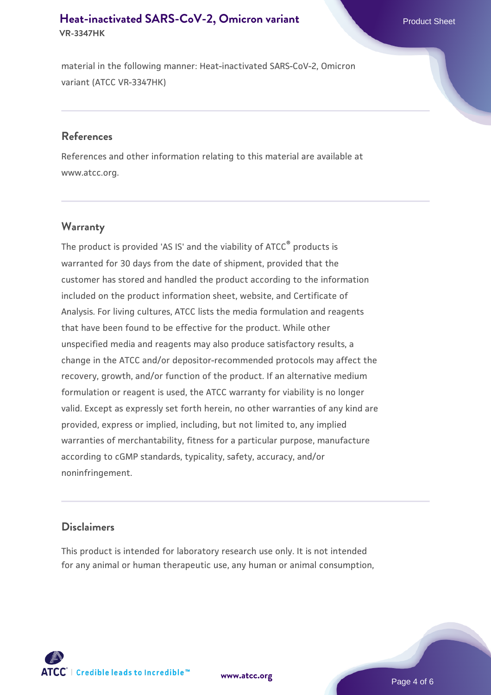material in the following manner: Heat-inactivated SARS-CoV-2, Omicron variant (ATCC VR-3347HK)

#### **References**

References and other information relating to this material are available at www.atcc.org.

## **Warranty**

The product is provided 'AS IS' and the viability of  $ATCC<sup>®</sup>$  products is warranted for 30 days from the date of shipment, provided that the customer has stored and handled the product according to the information included on the product information sheet, website, and Certificate of Analysis. For living cultures, ATCC lists the media formulation and reagents that have been found to be effective for the product. While other unspecified media and reagents may also produce satisfactory results, a change in the ATCC and/or depositor-recommended protocols may affect the recovery, growth, and/or function of the product. If an alternative medium formulation or reagent is used, the ATCC warranty for viability is no longer valid. Except as expressly set forth herein, no other warranties of any kind are provided, express or implied, including, but not limited to, any implied warranties of merchantability, fitness for a particular purpose, manufacture according to cGMP standards, typicality, safety, accuracy, and/or noninfringement.

#### **Disclaimers**

This product is intended for laboratory research use only. It is not intended for any animal or human therapeutic use, any human or animal consumption,





**[www.atcc.org](http://www.atcc.org)**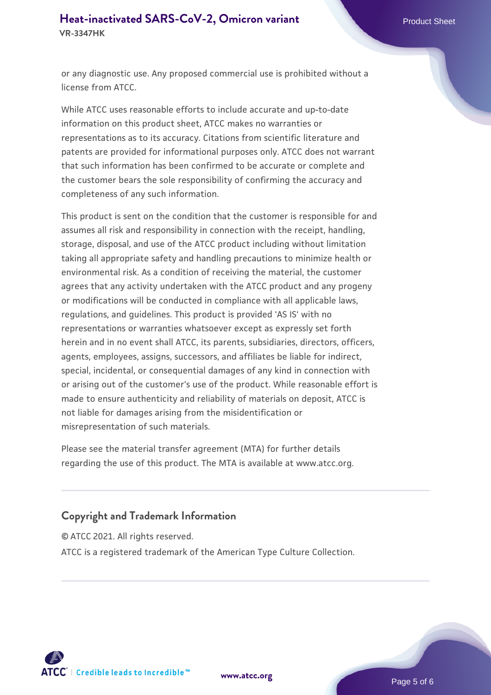or any diagnostic use. Any proposed commercial use is prohibited without a license from ATCC.

While ATCC uses reasonable efforts to include accurate and up-to-date information on this product sheet, ATCC makes no warranties or representations as to its accuracy. Citations from scientific literature and patents are provided for informational purposes only. ATCC does not warrant that such information has been confirmed to be accurate or complete and the customer bears the sole responsibility of confirming the accuracy and completeness of any such information.

This product is sent on the condition that the customer is responsible for and assumes all risk and responsibility in connection with the receipt, handling, storage, disposal, and use of the ATCC product including without limitation taking all appropriate safety and handling precautions to minimize health or environmental risk. As a condition of receiving the material, the customer agrees that any activity undertaken with the ATCC product and any progeny or modifications will be conducted in compliance with all applicable laws, regulations, and guidelines. This product is provided 'AS IS' with no representations or warranties whatsoever except as expressly set forth herein and in no event shall ATCC, its parents, subsidiaries, directors, officers, agents, employees, assigns, successors, and affiliates be liable for indirect, special, incidental, or consequential damages of any kind in connection with or arising out of the customer's use of the product. While reasonable effort is made to ensure authenticity and reliability of materials on deposit, ATCC is not liable for damages arising from the misidentification or misrepresentation of such materials.

Please see the material transfer agreement (MTA) for further details regarding the use of this product. The MTA is available at www.atcc.org.

## **Copyright and Trademark Information**

© ATCC 2021. All rights reserved.

ATCC is a registered trademark of the American Type Culture Collection.



**[www.atcc.org](http://www.atcc.org)**